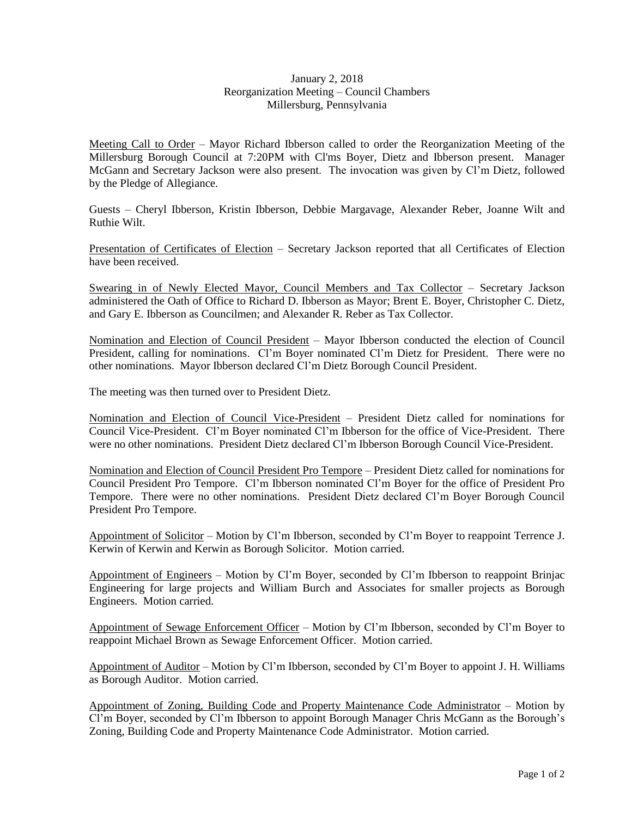## January 2, 2018 Reorganization Meeting – Council Chambers Millersburg, Pennsylvania

Meeting Call to Order – Mayor Richard Ibberson called to order the Reorganization Meeting of the Millersburg Borough Council at 7:20PM with Cl'ms Boyer, Dietz and Ibberson present. Manager McGann and Secretary Jackson were also present. The invocation was given by Cl'm Dietz, followed by the Pledge of Allegiance.

Guests – Cheryl Ibberson, Kristin Ibberson, Debbie Margavage, Alexander Reber, Joanne Wilt and Ruthie Wilt.

Presentation of Certificates of Election – Secretary Jackson reported that all Certificates of Election have been received.

Swearing in of Newly Elected Mayor, Council Members and Tax Collector – Secretary Jackson administered the Oath of Office to Richard D. Ibberson as Mayor; Brent E. Boyer, Christopher C. Dietz, and Gary E. Ibberson as Councilmen; and Alexander R. Reber as Tax Collector.

Nomination and Election of Council President – Mayor Ibberson conducted the election of Council President, calling for nominations. Cl'm Boyer nominated Cl'm Dietz for President. There were no other nominations. Mayor Ibberson declared Cl'm Dietz Borough Council President.

The meeting was then turned over to President Dietz.

Nomination and Election of Council Vice-President – President Dietz called for nominations for Council Vice-President. Cl'm Boyer nominated Cl'm Ibberson for the office of Vice-President. There were no other nominations. President Dietz declared Cl'm Ibberson Borough Council Vice-President.

Nomination and Election of Council President Pro Tempore – President Dietz called for nominations for Council President Pro Tempore. Cl'm Ibberson nominated Cl'm Boyer for the office of President Pro Tempore. There were no other nominations. President Dietz declared Cl'm Boyer Borough Council President Pro Tempore.

Appointment of Solicitor – Motion by Cl'm Ibberson, seconded by Cl'm Boyer to reappoint Terrence J. Kerwin of Kerwin and Kerwin as Borough Solicitor. Motion carried.

Appointment of Engineers – Motion by Cl'm Boyer, seconded by Cl'm Ibberson to reappoint Brinjac Engineering for large projects and William Burch and Associates for smaller projects as Borough Engineers. Motion carried.

Appointment of Sewage Enforcement Officer – Motion by Cl'm Ibberson, seconded by Cl'm Boyer to reappoint Michael Brown as Sewage Enforcement Officer. Motion carried.

Appointment of Auditor – Motion by Cl'm Ibberson, seconded by Cl'm Boyer to appoint J. H. Williams as Borough Auditor. Motion carried.

Appointment of Zoning, Building Code and Property Maintenance Code Administrator – Motion by Cl'm Boyer, seconded by Cl'm Ibberson to appoint Borough Manager Chris McGann as the Borough's Zoning, Building Code and Property Maintenance Code Administrator. Motion carried.